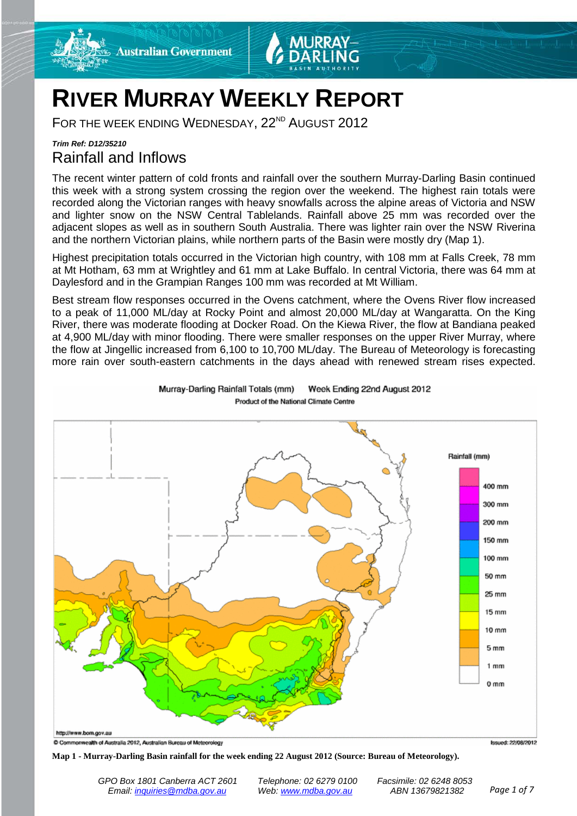



## **RIVER MURRAY WEEKLY REPORT**

FOR THE WEEK ENDING WEDNESDAY, 22<sup>ND</sup> AUGUST 2012

## *Trim Ref: D12/35210* Rainfall and Inflows

The recent winter pattern of cold fronts and rainfall over the southern Murray-Darling Basin continued this week with a strong system crossing the region over the weekend. The highest rain totals were recorded along the Victorian ranges with heavy snowfalls across the alpine areas of Victoria and NSW and lighter snow on the NSW Central Tablelands. Rainfall above 25 mm was recorded over the adjacent slopes as well as in southern South Australia. There was lighter rain over the NSW Riverina and the northern Victorian plains, while northern parts of the Basin were mostly dry (Map 1).

Highest precipitation totals occurred in the Victorian high country, with 108 mm at Falls Creek, 78 mm at Mt Hotham, 63 mm at Wrightley and 61 mm at Lake Buffalo. In central Victoria, there was 64 mm at Daylesford and in the Grampian Ranges 100 mm was recorded at Mt William.

Best stream flow responses occurred in the Ovens catchment, where the Ovens River flow increased to a peak of 11,000 ML/day at Rocky Point and almost 20,000 ML/day at Wangaratta. On the King River, there was moderate flooding at Docker Road. On the Kiewa River, the flow at Bandiana peaked at 4,900 ML/day with minor flooding. There were smaller responses on the upper River Murray, where the flow at Jingellic increased from 6,100 to 10,700 ML/day. The Bureau of Meteorology is forecasting more rain over south-eastern catchments in the days ahead with renewed stream rises expected.



Murray-Darling Rainfall Totals (mm) Week Ending 22nd August 2012 Product of the National Climate Centre

### **Map 1 - Murray-Darling Basin rainfall for the week ending 22 August 2012 (Source: Bureau of Meteorology).**

C Commonwealth of Australia 2012, Australian Bureau of Meteorology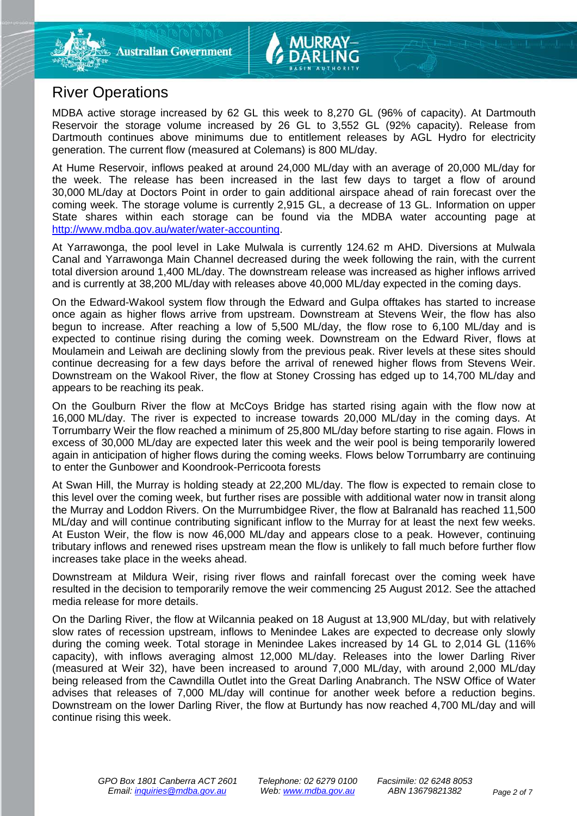## River Operations

MDBA active storage increased by 62 GL this week to 8,270 GL (96% of capacity). At Dartmouth Reservoir the storage volume increased by 26 GL to 3,552 GL (92% capacity). Release from Dartmouth continues above minimums due to entitlement releases by AGL Hydro for electricity generation. The current flow (measured at Colemans) is 800 ML/day.

At Hume Reservoir, inflows peaked at around 24,000 ML/day with an average of 20,000 ML/day for the week. The release has been increased in the last few days to target a flow of around 30,000 ML/day at Doctors Point in order to gain additional airspace ahead of rain forecast over the coming week. The storage volume is currently 2,915 GL, a decrease of 13 GL. Information on upper State shares within each storage can be found via the MDBA water accounting page at [http://www.mdba.gov.au/water/water-accounting.](http://www.mdba.gov.au/water/water-accounting)

At Yarrawonga, the pool level in Lake Mulwala is currently 124.62 m AHD. Diversions at Mulwala Canal and Yarrawonga Main Channel decreased during the week following the rain, with the current total diversion around 1,400 ML/day. The downstream release was increased as higher inflows arrived and is currently at 38,200 ML/day with releases above 40,000 ML/day expected in the coming days.

On the Edward-Wakool system flow through the Edward and Gulpa offtakes has started to increase once again as higher flows arrive from upstream. Downstream at Stevens Weir, the flow has also begun to increase. After reaching a low of 5,500 ML/day, the flow rose to 6,100 ML/day and is expected to continue rising during the coming week. Downstream on the Edward River, flows at Moulamein and Leiwah are declining slowly from the previous peak. River levels at these sites should continue decreasing for a few days before the arrival of renewed higher flows from Stevens Weir. Downstream on the Wakool River, the flow at Stoney Crossing has edged up to 14,700 ML/day and appears to be reaching its peak.

On the Goulburn River the flow at McCoys Bridge has started rising again with the flow now at 16,000 ML/day. The river is expected to increase towards 20,000 ML/day in the coming days. At Torrumbarry Weir the flow reached a minimum of 25,800 ML/day before starting to rise again. Flows in excess of 30,000 ML/day are expected later this week and the weir pool is being temporarily lowered again in anticipation of higher flows during the coming weeks. Flows below Torrumbarry are continuing to enter the Gunbower and Koondrook-Perricoota forests

At Swan Hill, the Murray is holding steady at 22,200 ML/day. The flow is expected to remain close to this level over the coming week, but further rises are possible with additional water now in transit along the Murray and Loddon Rivers. On the Murrumbidgee River, the flow at Balranald has reached 11,500 ML/day and will continue contributing significant inflow to the Murray for at least the next few weeks. At Euston Weir, the flow is now 46,000 ML/day and appears close to a peak. However, continuing tributary inflows and renewed rises upstream mean the flow is unlikely to fall much before further flow increases take place in the weeks ahead.

Downstream at Mildura Weir, rising river flows and rainfall forecast over the coming week have resulted in the decision to temporarily remove the weir commencing 25 August 2012. See the attached media release for more details.

On the Darling River, the flow at Wilcannia peaked on 18 August at 13,900 ML/day, but with relatively slow rates of recession upstream, inflows to Menindee Lakes are expected to decrease only slowly during the coming week. Total storage in Menindee Lakes increased by 14 GL to 2,014 GL (116% capacity), with inflows averaging almost 12,000 ML/day. Releases into the lower Darling River (measured at Weir 32), have been increased to around 7,000 ML/day, with around 2,000 ML/day being released from the Cawndilla Outlet into the Great Darling Anabranch. The NSW Office of Water advises that releases of 7,000 ML/day will continue for another week before a reduction begins. Downstream on the lower Darling River, the flow at Burtundy has now reached 4,700 ML/day and will continue rising this week.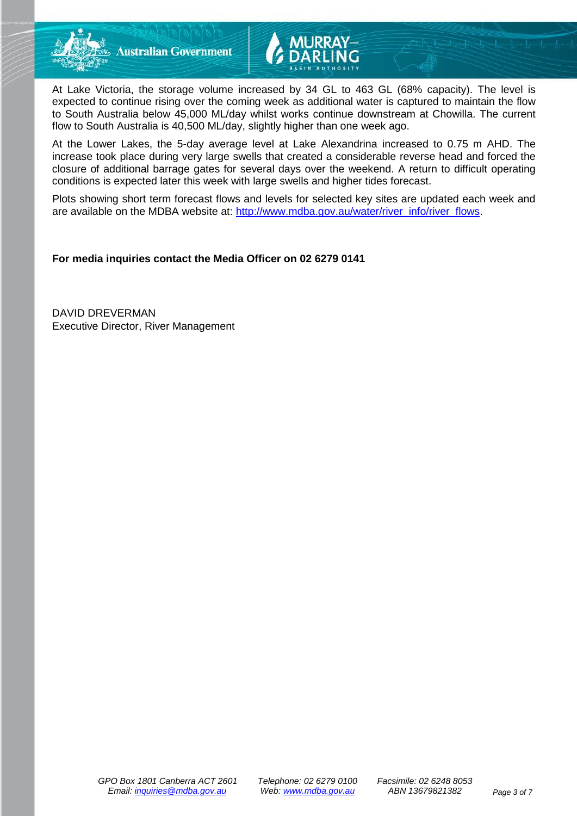



At Lake Victoria, the storage volume increased by 34 GL to 463 GL (68% capacity). The level is expected to continue rising over the coming week as additional water is captured to maintain the flow to South Australia below 45,000 ML/day whilst works continue downstream at Chowilla. The current flow to South Australia is 40,500 ML/day, slightly higher than one week ago.

At the Lower Lakes, the 5-day average level at Lake Alexandrina increased to 0.75 m AHD. The increase took place during very large swells that created a considerable reverse head and forced the closure of additional barrage gates for several days over the weekend. A return to difficult operating conditions is expected later this week with large swells and higher tides forecast.

Plots showing short term forecast flows and levels for selected key sites are updated each week and are available on the MDBA website at: [http://www.mdba.gov.au/water/river\\_info/river\\_flows.](http://www.mdba.gov.au/water/river_info/river_flows)

**For media inquiries contact the Media Officer on 02 6279 0141**

DAVID DREVERMAN Executive Director, River Management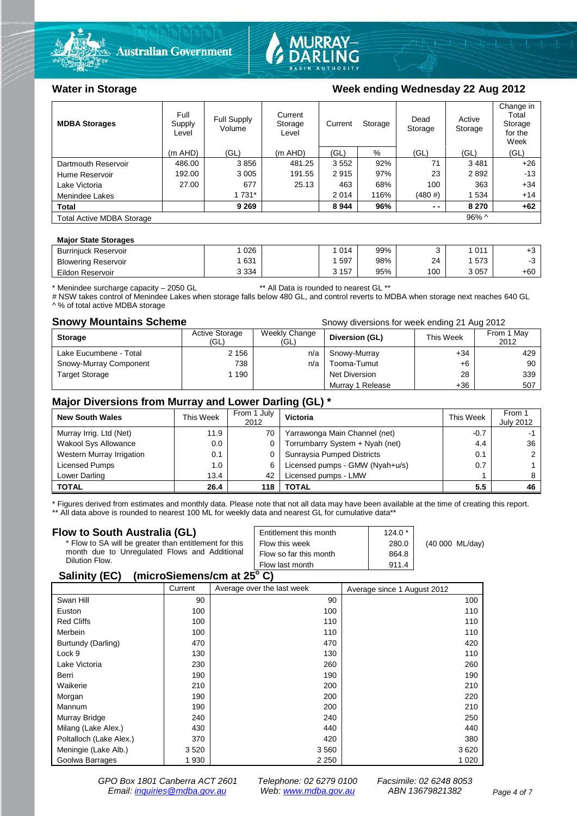



### Water in Storage **Water in Storage Week ending Wednesday 22 Aug 2012**

| <b>MDBA Storages</b>                         | Full<br>Supply<br>Level | <b>Full Supply</b><br>Volume | Current<br>Storage<br>Level | Storage<br>Current |      | Dead<br>Storage | Active<br>Storage | Change in<br>Total<br>Storage<br>for the<br>Week |
|----------------------------------------------|-------------------------|------------------------------|-----------------------------|--------------------|------|-----------------|-------------------|--------------------------------------------------|
|                                              | $(m$ AHD)               | (GL)                         | $(m$ AHD)                   | (GL)               | %    | (GL)            | (GL)              | (GL)                                             |
| Dartmouth Reservoir                          | 486.00                  | 3856                         | 481.25                      | 3552               | 92%  | 71              | 3481              | $+26$                                            |
| Hume Reservoir                               | 192.00                  | 3 0 0 5                      | 191.55                      | 2915               | 97%  | 23              | 2892              | $-13$                                            |
| Lake Victoria                                | 27.00                   | 677                          | 25.13                       | 463                | 68%  | 100             | 363               | $+34$                                            |
| Menindee Lakes                               |                         | 1 7 3 1 *                    |                             | 2014               | 116% | (480#)          | 1 534             | $+14$                                            |
| <b>Total</b>                                 |                         | 9 2 6 9                      |                             | 8944               | 96%  | $ -$            | 8 2 7 0           | $+62$                                            |
| $96\%$ ^<br><b>Total Active MDBA Storage</b> |                         |                              |                             |                    |      |                 |                   |                                                  |

### **Major State Storages**

| <b>Burriniuck Reservoir</b> | 026     | 014   | 99% |     | 011  | ٠.,   |
|-----------------------------|---------|-------|-----|-----|------|-------|
| <b>Blowering Reservoir</b>  | 631     | 597   | 98% | 24  | 573  |       |
| Eildon Reservoir            | 3 3 3 4 | 3 157 | 95% | 100 | 3057 | $+60$ |

\* Menindee surcharge capacity – 2050 GL \*\* All Data is rounded to nearest GL \*\*

# NSW takes control of Menindee Lakes when storage falls below 480 GL, and control reverts to MDBA when storage next reaches 640 GL A % of total active MDBA storage

**Snowy Mountains Scheme Snowy diversions for week ending 21 Aug 2012** 

| <b>Storage</b>         | Active Storage<br>(GL) | Weekly Change<br>(GL) | Diversion (GL)   | This Week | From 1 May<br>2012 |
|------------------------|------------------------|-----------------------|------------------|-----------|--------------------|
| Lake Eucumbene - Total | 2 1 5 6                | n/a                   | Snowy-Murray     | $+34$     | 429                |
| Snowy-Murray Component | 738                    | n/a                   | Tooma-Tumut      | $+6$      | 90                 |
| <b>Target Storage</b>  | 1 190                  |                       | Net Diversion    | 28        | 339                |
|                        |                        |                       | Murray 1 Release | $+36$     | 507                |

### **Major Diversions from Murray and Lower Darling (GL) \***

| <b>New South Wales</b>    | This Week | From 1 July<br>2012 | Victoria                        | This Week     | From 1<br><b>July 2012</b> |
|---------------------------|-----------|---------------------|---------------------------------|---------------|----------------------------|
| Murray Irrig. Ltd (Net)   | 11.9      | 70                  | Yarrawonga Main Channel (net)   | $-0.7$        |                            |
| Wakool Sys Allowance      | 0.0       | 0                   | Torrumbarry System + Nyah (net) | 4.4           | 36                         |
| Western Murray Irrigation | 0.1       |                     | Sunraysia Pumped Districts      | 0.1           |                            |
| Licensed Pumps            | 1.0       | 6                   | Licensed pumps - GMW (Nyah+u/s) | 0.7           |                            |
| Lower Darling             | 13.4      | 42                  | Licensed pumps - LMW            |               |                            |
| <b>TOTAL</b>              | 26.4      | 118                 | TOTAL                           | $5.5^{\circ}$ | 46                         |

\* Figures derived from estimates and monthly data. Please note that not all data may have been available at the time of creating this report.

\*\* All data above is rounded to nearest 100 ML for weekly data and nearest GL for cumulative data\*\*

| Flow to South Australia (GL)                           | Entitlement this month | $124.0*$ |                 |
|--------------------------------------------------------|------------------------|----------|-----------------|
| * Flow to SA will be greater than entitlement for this | Flow this week         | 280.0    | (40 000 ML/day) |
| month due to Unregulated Flows and Additional          | Flow so far this month | 864.8    |                 |
| Dilution Flow.                                         | Flow last month        | 911.4    |                 |
| ImiaraCiamanalam at 25º C)<br>$C_{\mathcal{L}}$        |                        |          |                 |

### **Salinity (EC) (microSiemens/cm at 25o C)**

|                         | Current | Average over the last week | Average since 1 August 2012 |
|-------------------------|---------|----------------------------|-----------------------------|
| Swan Hill               | 90      | 90                         | 100                         |
| Euston                  | 100     | 100                        | 110                         |
| <b>Red Cliffs</b>       | 100     | 110                        | 110                         |
| Merbein                 | 100     | 110                        | 110                         |
| Burtundy (Darling)      | 470     | 470                        | 420                         |
| Lock 9                  | 130     | 130                        | 110                         |
| Lake Victoria           | 230     | 260                        | 260                         |
| Berri                   | 190     | 190                        | 190                         |
| Waikerie                | 210     | 200                        | 210                         |
| Morgan                  | 190     | 200                        | 220                         |
| Mannum                  | 190     | 200                        | 210                         |
| Murray Bridge           | 240     | 240                        | 250                         |
| Milang (Lake Alex.)     | 430     | 440                        | 440                         |
| Poltalloch (Lake Alex.) | 370     | 420                        | 380                         |
| Meningie (Lake Alb.)    | 3520    | 3 5 6 0                    | 3620                        |
| Goolwa Barrages         | 1930    | 2 2 5 0                    | 1 0 2 0                     |

*GPO Box 1801 Canberra ACT 2601 Telephone: 02 6279 0100 Facsimile: 02 6248 8053 Email: [inquiries@mdba.gov.au](mailto:inquiries@mdba.gov.au) Web: [www.mdba.gov.au](http://www.mdba.gov.au/) ABN 13679821382 Page 4 of 7*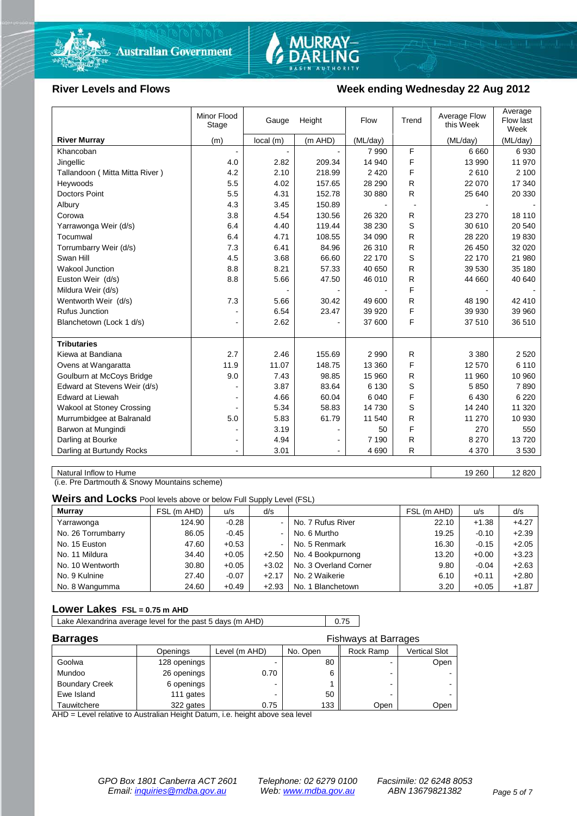

# MURRAY-<br>DARLING

### **River Levels and Flows Week ending Wednesday 22 Aug 2012**

|                                | Minor Flood<br>Stage | Height<br>Gauge |         | Flow     | Trend | Average Flow<br>this Week | Average<br>Flow last<br>Week |
|--------------------------------|----------------------|-----------------|---------|----------|-------|---------------------------|------------------------------|
| <b>River Murray</b>            | (m)                  | local(m)        | (m AHD) | (ML/day) |       | (ML/day)                  | (ML/day)                     |
| Khancoban                      | $\sim$               |                 |         | 7990     | F     | 6660                      | 6930                         |
| Jingellic                      | 4.0                  | 2.82            | 209.34  | 14 940   | F     | 13 990                    | 11 970                       |
| Tallandoon (Mitta Mitta River) | 4.2                  | 2.10            | 218.99  | 2 4 2 0  | F     | 2610                      | 2 100                        |
| Heywoods                       | 5.5                  | 4.02            | 157.65  | 28 290   | R     | 22 070                    | 17 340                       |
| <b>Doctors Point</b>           | 5.5                  | 4.31            | 152.78  | 30 880   | R     | 25 640                    | 20 330                       |
| Albury                         | 4.3                  | 3.45            | 150.89  |          |       |                           |                              |
| Corowa                         | 3.8                  | 4.54            | 130.56  | 26 3 20  | R     | 23 270                    | 18 110                       |
| Yarrawonga Weir (d/s)          | 6.4                  | 4.40            | 119.44  | 38 230   | S     | 30 610                    | 20 540                       |
| Tocumwal                       | 6.4                  | 4.71            | 108.55  | 34 090   | R     | 28 2 20                   | 19830                        |
| Torrumbarry Weir (d/s)         | 7.3                  | 6.41            | 84.96   | 26 310   | R     | 26 450                    | 32 0 20                      |
| Swan Hill                      | 4.5                  | 3.68            | 66.60   | 22 170   | S     | 22 170                    | 21 980                       |
| <b>Wakool Junction</b>         | 8.8                  | 8.21            | 57.33   | 40 650   | R     | 39 530                    | 35 180                       |
| Euston Weir (d/s)              | 8.8                  | 5.66            | 47.50   | 46 010   | R     | 44 660                    | 40 640                       |
| Mildura Weir (d/s)             |                      |                 |         |          | F     |                           |                              |
| Wentworth Weir (d/s)           | 7.3                  | 5.66            | 30.42   | 49 600   | R     | 48 190                    | 42 410                       |
| <b>Rufus Junction</b>          |                      | 6.54            | 23.47   | 39 9 20  | F     | 39 930                    | 39 960                       |
| Blanchetown (Lock 1 d/s)       | ۰                    | 2.62            |         | 37 600   | F     | 37 510                    | 36 510                       |
|                                |                      |                 |         |          |       |                           |                              |
| <b>Tributaries</b>             |                      |                 |         |          |       |                           |                              |
| Kiewa at Bandiana              | 2.7                  | 2.46            | 155.69  | 2 9 9 0  | R     | 3 3 8 0                   | 2 5 20                       |
| Ovens at Wangaratta            | 11.9                 | 11.07           | 148.75  | 13 360   | F     | 12 570                    | 6 1 1 0                      |
| Goulburn at McCoys Bridge      | 9.0                  | 7.43            | 98.85   | 15 960   | R     | 11 960                    | 10 960                       |
| Edward at Stevens Weir (d/s)   |                      | 3.87            | 83.64   | 6 1 3 0  | S     | 5850                      | 7890                         |
| Edward at Liewah               |                      | 4.66            | 60.04   | 6 0 4 0  | F     | 6430                      | 6 2 2 0                      |
| Wakool at Stoney Crossing      |                      | 5.34            | 58.83   | 14 730   | S     | 14 240                    | 11 320                       |
| Murrumbidgee at Balranald      | 5.0                  | 5.83            | 61.79   | 11 540   | R     | 11 270                    | 10 930                       |
| Barwon at Mungindi             |                      | 3.19            |         | 50       | F     | 270                       | 550                          |
| Darling at Bourke              | $\blacksquare$       | 4.94            |         | 7 1 9 0  | R     | 8 2 7 0                   | 13720                        |
| Darling at Burtundy Rocks      |                      | 3.01            |         | 4690     | R     | 4 3 7 0                   | 3530                         |

Natural Inflow to Hume 19 260 12 820

(i.e. Pre Dartmouth & Snowy Mountains scheme)

**Weirs and Locks** Pool levels above or below Full Supply Level (FSL)

| <b>Murray</b>      | FSL (m AHD) | u/s     | d/s            |                       | FSL (m AHD) | u/s     | d/s     |
|--------------------|-------------|---------|----------------|-----------------------|-------------|---------|---------|
| Yarrawonga         | 124.90      | $-0.28$ | $\sim$         | No. 7 Rufus River     | 22.10       | $+1.38$ | $+4.27$ |
| No. 26 Torrumbarry | 86.05       | $-0.45$ | $\sim$         | No. 6 Murtho          | 19.25       | $-0.10$ | $+2.39$ |
| No. 15 Euston      | 47.60       | $+0.53$ | $\blacksquare$ | No. 5 Renmark         | 16.30       | $-0.15$ | $+2.05$ |
| No. 11 Mildura     | 34.40       | $+0.05$ | $+2.50$        | No. 4 Bookpurnong     | 13.20       | $+0.00$ | $+3.23$ |
| No. 10 Wentworth   | 30.80       | $+0.05$ | $+3.02$        | No. 3 Overland Corner | 9.80        | $-0.04$ | $+2.63$ |
| No. 9 Kulnine      | 27.40       | $-0.07$ | $+2.17$        | No. 2 Waikerie        | 6.10        | $+0.11$ | $+2.80$ |
| No. 8 Wangumma     | 24.60       | $+0.49$ | $+2.93$        | No. 1 Blanchetown     | 3.20        | $+0.05$ | $+1.87$ |

### **Lower Lakes FSL = 0.75 m AHD**

| Lake Alexandrina average level for the past 5 days (m AHD) | 0.75 |  |
|------------------------------------------------------------|------|--|
|------------------------------------------------------------|------|--|

| <b>Barrages</b>       | <b>Fishways at Barrages</b> |               |          |           |               |  |
|-----------------------|-----------------------------|---------------|----------|-----------|---------------|--|
|                       | Openings                    | Level (m AHD) | No. Open | Rock Ramp | Vertical Slot |  |
| Goolwa                | 128 openings                |               | 80       | -         | Open          |  |
| Mundoo                | 26 openings                 | 0.70          |          | -         |               |  |
| <b>Boundary Creek</b> | 6 openings                  | -             |          | -         |               |  |
| Ewe Island            | 111 gates                   |               | 50       | -         |               |  |
| Tauwitchere           | 322 gates                   | 0.75          | 133      | Open      | Open          |  |

AHD = Level relative to Australian Height Datum, i.e. height above sea level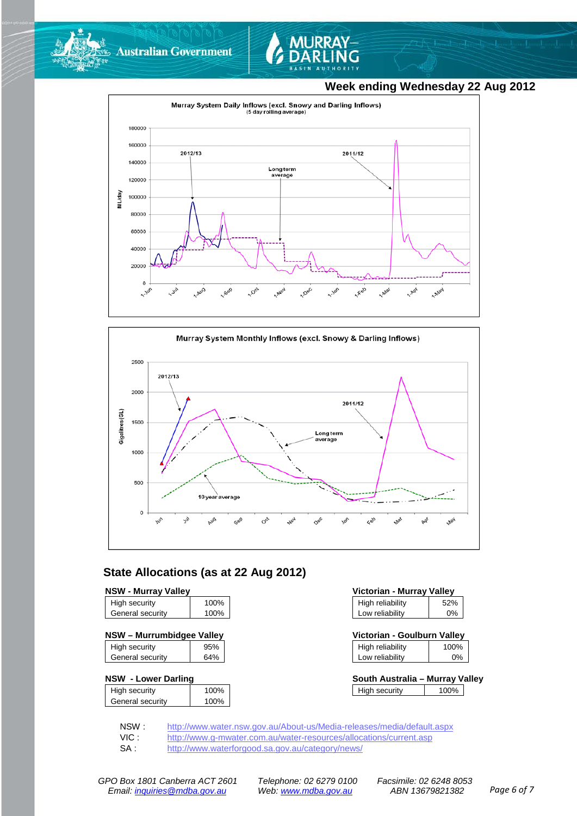



### **Week ending Wednesday 22 Aug 2012**





### **State Allocations (as at 22 Aug 2012)**

### **NSW - Murray Valley**

| High security    | 100% |
|------------------|------|
| General security | 100% |
|                  |      |

| High security    | 95% |
|------------------|-----|
| General security | 64% |
|                  |     |

### **NSW - Lower Darling**

| High security    | 100% |
|------------------|------|
| General security | 100% |

| Victorian - Murray Valley |       |  |  |  |
|---------------------------|-------|--|--|--|
| High reliability          | 52%   |  |  |  |
| Low reliability           | $0\%$ |  |  |  |

| NSW - Murrumbidgee Valley |     |                  | Victorian - Goulburn Vallev |  |
|---------------------------|-----|------------------|-----------------------------|--|
| High security             | 95% | High reliability | 100%                        |  |

| .               | .  |
|-----------------|----|
| Low reliability | 0% |
|                 |    |

| South Australia - Murray Valley |      |  |
|---------------------------------|------|--|
| High security                   | 100% |  |

NSW : <http://www.water.nsw.gov.au/About-us/Media-releases/media/default.aspx><br>VIC : http://www.g-mwater.com.au/water-resources/allocations/current.asp

VIC : <http://www.g-mwater.com.au/water-resources/allocations/current.asp><br>SA : http://www.waterforgood.sa.gov.au/category/news/

<http://www.waterforgood.sa.gov.au/category/news/>